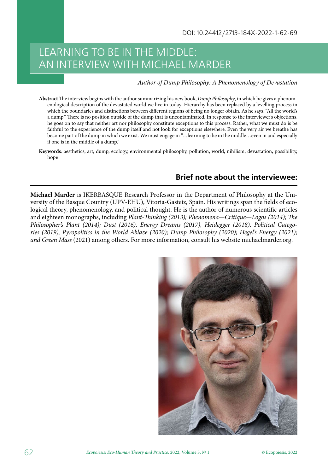## LEARNING TO BE IN THE MIDDLE: AN INTERVIEW WITH MICHAEL MARDER

## *Author of Dump Philosophy: A Phenomenology of Devastation*

- **Abstract** The interview begins with the author summarizing his new book, *Dump Philosophy*, in which he gives a phenomenological description of the devastated world we live in today*.*Hierarchy has been replaced by a levelling process in which the boundaries and distinctions between different regions of being no longer obtain. As he says, "All the world's a dump." There is no position outside of the dump that is uncontaminated. In response to the interviewer's objections, he goes on to say that neither art nor philosophy constitute exceptions to this process. Rather, what we must do is be faithful to the experience of the dump itself and not look for exceptions elsewhere. Even the very air we breathe has become part of the dump in which we exist. We must engage in "…learning to be in the middle…even in and especially if one is in the middle of a dump."
- **Keywords**: aesthetics, art, dump, ecology, environmental philosophy, pollution, world, nihilism, devastation, possibility, hope

## **Brief note about the interviewee:**

**Michael Marder** is IKERBASQUE Research Professor in the Department of Philosophy at the University of the Basque Country (UPV-EHU), Vitoria-Gasteiz, Spain. His writings span the fields of ecological theory, phenomenology, and political thought. He is the author of numerous scientific articles and eighteen monographs, including *Plant-Thinking (2013); Phenomena—Critique—Logos (2014); The Philosopher's Plant (2014); Dust (2016), Energy Dreams (2017), Heidegger (2018), Political Categories (2019), Pyropolitics in the World Ablaze (2020); Dump Philosophy (2020); Hegel's Energy (2021); and Green Mass* (2021) among others. For more information, consult his website michaelmarder.org.

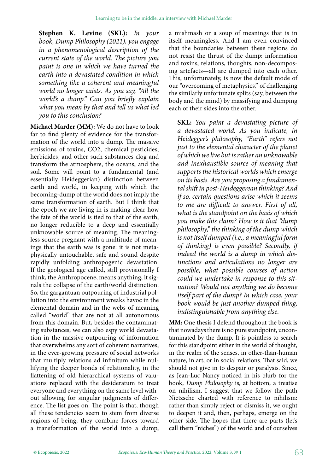**Stephen K. Levine (SKL):** *In your book, Dump Philosophy (2021), you engage in a phenomenological description of the current state of the world. The picture you paint is one in which we have turned the earth into a devastated condition in which something like a coherent and meaningful world no longer exists. As you say, "All the world's a dump." Can you briefly explain what you mean by that and tell us what led you to this conclusion?*

**Michael Marder (MM):** We do not have to look far to find plenty of evidence for the transformation of the world into a dump. The massive emissions of toxins, CO2, chemical pesticides, herbicides, and other such substances clog and transform the atmosphere, the oceans, and the soil. Some will point to a fundamental (and essentially Heideggerian) distinction between earth and world, in keeping with which the becoming-dump of the world does not imply the same transformation of earth. But I think that the epoch we are living in is making clear how the fate of the world is tied to that of the earth, no longer reducible to a deep and essentially unknowable source of meaning. The meaningless source pregnant with a multitude of meanings that the earth was is gone: it is not metaphysically untouchable, safe and sound despite rapidly unfolding anthropogenic devastation. If the geological age called, still provisionally I think, the Anthropocene, means anything, it signals the collapse of the earth/world distinction. So, the gargantuan outpouring of industrial pollution into the environment wreaks havoc in the elemental domain and in the webs of meaning called "world" that are not at all autonomous from this domain. But, besides the contaminating substances, we can also espy world devastation in the massive outpouring of information that overwhelms any sort of coherent narratives, in the ever-growing pressure of social networks that multiply relations ad infinitum while nullifying the deeper bonds of relationality, in the flattening of old hierarchical systems of valuations replaced with the desideratum to treat everyone and everything on the same level without allowing for singular judgments of difference. The list goes on. The point is that, though all these tendencies seem to stem from diverse regions of being, they combine forces toward a transformation of the world into a dump,

a mishmash or a soup of meanings that is in itself meaningless. And I am even convinced that the boundaries between these regions do not resist the thrust of the dump: information and toxins, relations, thoughts, non-decomposing artefacts—all are dumped into each other. This, unfortunately, is now the default mode of our "overcoming of metaphysics," of challenging the similarly unfortunate splits (say, between the body and the mind) by massifying and dumping each of their sides into the other.

**SKL:**  *You paint a devastating picture of a devastated world. As you indicate, in Heidegger's philosophy, "Earth" refers not just to the elemental character of the planet of which we live but is rather an unknowable and inexhaustible source of meaning that supports the historical worlds which emerge on its basis. Are you proposing a fundamental shift in post-Heideggerean thinking? And if so, certain questions arise which it seems to me are difficult to answer. First of all, what is the standpoint on the basis of which you make this claim? How is it that "dump philosophy," the thinking of the dump which is not itself dumped (i.e., a meaningful form of thinking) is even possible? Secondly, if indeed the world is a dump in which distinctions and articulations no longer are possible, what possible courses of action could we undertake in response to this situation? Would not anything we do become itself part of the dump? In which case, your book would be just another dumped thing, indistinguishable from anything else.*

**MM:** One thesis I defend throughout the book is that nowadays there is no pure standpoint, uncontaminated by the dump. It is pointless to search for this standpoint either in the world of thought, in the realm of the senses, in other-than-human nature, in art, or in social relations. That said, we should not give in to despair or paralysis. Since, as Jean-Luc Nancy noticed in his blurb for the book, *Dump Philosophy*  is, at bottom, a treatise on nihilism, I suggest that we follow the path Nietzsche charted with reference to nihilism: rather than simply reject or dismiss it, we ought to deepen it and, then, perhaps, emerge on the other side. The hopes that there are parts (let's call them "niches") of the world and of ourselves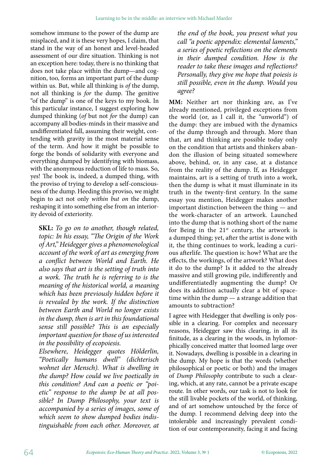somehow immune to the power of the dump are misplaced, and it is these very hopes, I claim, that stand in the way of an honest and level-headed assessment of our dire situation. Thinking is not an exception here: today, there is no thinking that does not take place within the dump—and cognition, too, forms an important part of the dump within us. But, while all thinking is *of* the dump, not all thinking is *for* the dump. The genitive "of the dump" is one of the keys to my book. In this particular instance, I suggest exploring how dumped thinking (*of* but not *for* the dump) can accompany all bodies-minds in their massive and undifferentiated fall, assuming their weight, contending with gravity in the most material sense of the term. And how it might be possible to forge the bonds of solidarity with everyone and everything dumped by identifying with biomass, with the anonymous reduction of life to mass. So, yes! The book is, indeed, a dumped thing, with the proviso of trying to develop a self-consciousness of the dump. Heeding this proviso, we might begin to act not only *within but on* the dump, reshaping it into something else from an interiority devoid of exteriority.

**SKL:** *To go on to another, though related, topic: In his essay, "The Origin of the Work of Art," Heidegger gives a phenomenological account of the work of art as emerging from a conflict between World and Earth. He also says that art is the setting of truth into a work. The truth he is referring to is the meaning of the historical world, a meaning which has been previously hidden before it is revealed by the work. If the distinction between Earth and World no longer exists in the dump, then is art in this foundational sense still possible? This is an especially important question for those of us interested in the possibility of ecopoiesis.*

*Elsewhere, Heidegger quotes Hölderlin, "Poetically humans dwell" (dichterisch wohnet der Mensch). What is dwelling in the dump? How could we live poetically in this condition? And can a poetic or "poietic" response to the dump be at all possible? In Dump Philosophy, your text is accompanied by a series of images, some of which seem to show dumped bodies indistinguishable from each other. Moreover, at* 

*the end of the book, you present what you call "a poetic appendix: elemental laments," a series of poetic reflections on the elements in their dumped condition. How is the reader to take these images and reflections? Personally, they give me hope that poiesis is still possible, even in the dump. Would you agree?*

**MM:**  Neither art nor thinking are, as I've already mentioned, privileged exceptions from the world (or, as I call it, the "unworld") of the dump: they are imbued with the dynamics of the dump through and through. More than that, art and thinking are possible today only on the condition that artists and thinkers abandon the illusion of being situated somewhere above, behind, or, in any case, at a distance from the reality of the dump. If, as Heidegger maintains, art is a setting of truth into a work, then the dump is what it must illuminate in its truth in the twenty-first century. In the same essay you mention, Heidegger makes another important distinction between the thing — and the work-character of an artwork. Launched into the dump that is nothing short of the name for Being in the  $21<sup>st</sup>$  century, the artwork is a dumped thing; yet, after the artist is done with it, the thing continues to work, leading a curious afterlife. The question is: how? What are the effects, the workings, of the artwork? What does it do to the dump? Is it added to the already massive and still growing pile, indifferently and undifferentiatedly augmenting the dump? Or does its addition actually clear a bit of spacetime within the dump — a strange addition that amounts to subtraction?

I agree with Heidegger that dwelling is only possible in a clearing. For complex and necessary reasons, Heidegger saw this clearing, in all its finitude, as a clearing in the woods, in hylomorphically conceived matter that loomed large over it. Nowadays, dwelling is possible in a clearing in the dump. My hope is that the words (whether philosophical or poetic or both) and the images of *Dump Philosophy*  contribute to such a clearing, which, at any rate, cannot be a private escape route. In other words, our task is not to look for the still livable pockets of the world, of thinking, and of art somehow untouched by the force of the dump. I recommend delving deep into the intolerable and increasingly prevalent condition of our contemporaneity, facing it and facing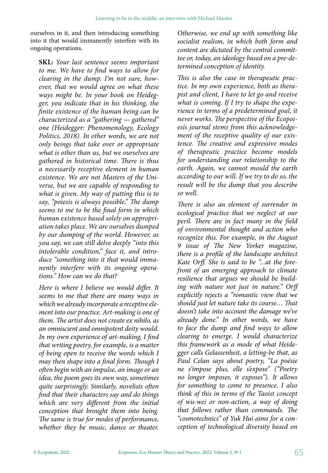ourselves in it, and then introducing something into it that would immanently interfere with its ongoing operations.

**SKL:** *Your last sentence seems important to me. We have to find ways to allow for clearing in the dump. I'm not sure, however, that we would agree on what these ways might be. In your book on Heidegger, you indicate that in his thinking, the finite existence of the human being can be characterized as a "gathering — gathered" one (Heidegger: Phenomenology, Ecology Politics, 2018). In other words, we are not only beings that take over or appropriate what is other than us, but we ourselves are gathered in historical time. There is thus a necessarily receptive element in human existence. We are not Masters of the Universe, but we are capable of responding to what is given. My way of putting this is to say, "poiesis is always possible," The dump seems to me to be the final form in which human existence based solely on appropriation takes place. We are ourselves dumped by our dumping of the world. However, as you say, we can still delve deeply "into this intolerable condition," face it, and introduce "something into it that would immanently interfere with its ongoing operations." How can we do that?*

*Here is where I believe we would differ. It seems to me that there are many ways in which we already incorporate a receptive element into our practice. Art-making is one of them. The artist does not create ex nihilo, as an omniscient and omnipotent deity would. In my own experience of art-making, I find that writing poetry, for example, is a matter of being open to receive the words which I may then shape into a final form. Though I often begin with an impulse, an image or an idea, the poem goes its own way, sometimes quite surprisingly. Similarly, novelists often find that their characters say and do things which are very different from the initial conception that brought them into being. The same is true for modes of performance, whether they be music, dance or theater.*

*Otherwise, we end up with something like socialist realism, in which both form and content are dictated by the central committee or, today, an ideology based on a pre-determined conception of identity.*

*This is also the case in therapeutic practice. In my own experience, both as therapist and client, I have to let go and receive what is coming. If I try to shape the experience in terms of a predetermined goal, it never works. The perspective of the Ecopoiesis journal stems from this acknowledgement of the receptive quality of our existence. The creative and expressive modes of therapeutic practice become models for understanding our relationship to the earth. Again, we cannot mould the earth according to our will. If we try to do so, the result will be the dump that you describe so well.*

*There is also an element of surrender in ecological practice that we neglect at our peril. There are in fact many in the field of environmental thought and action who recognize this. For example, in the August 9 issue of The New Yorker magazine, there is a profile of the landscape architect Kate Orff. She is said to be "...at the forefront of an emerging approach to climate resilience that argues we should be building with nature not just in nature." Orff explicitly rejects a "romantic view that we should just let nature take its course… That doesn't take into account the damage we've already done." In other words, we have to face the dump and find ways to allow clearing to emerge. I would characterize this framework as a mode of what Heidegger calls Gelassenheit, a letting-be that, as Paul Celan says about poetry, "La poésie ne s'impose plus, elle s'expose" ("Poetry no longer imposes, it exposes"). It allows for something to come to presence. I also think of this in terms of the Taoist concept of wu-wei or non-action, a way of doing that follows rather than commands. The "cosmotechnics" of Yuk Hui aims for a conception of technological diversity based on*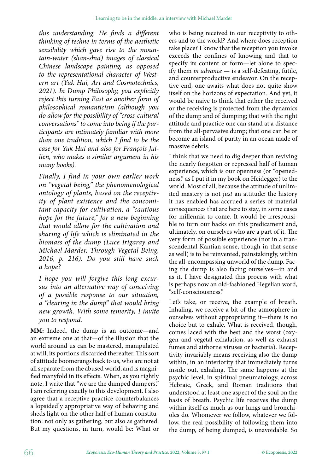*this understanding. He finds a different thinking of techne in terms of the aesthetic sensibility which gave rise to the mountain-water (shan-shui) images of classical Chinese landscape painting, as opposed to the representational character of Western art (Yuk Hui, Art and Cosmotechnics, 2021). In Dump Philosophy, you explicitly reject this turning East as another form of philosophical romanticism (although you do allow for the possibility of "cross-cultural conversations" to come into being if the participants are intimately familiar with more than one tradition, which I find to be the case for Yuk Hui and also for François Jullien, who makes a similar argument in his many books).*

*Finally, I find in your own earlier work on "vegetal being," the phenomenological ontology of plants, based on the receptivity of plant existence and the concomitant capacity for cultivation, a "cautious hope for the future," for a new beginning that would allow for the cultivation and sharing of life which is eliminated in the biomass of the dump (Luce Irigaray and Michael Marder, Through Vegetal Being, 2016, p. 216). Do you still have such a hope?*

*I hope you will forgive this long excursus into an alternative way of conceiving of a possible response to our situation, a "clearing in the dump" that would bring new growth. With some temerity, I invite you to respond.*

**MM:**  Indeed, the dump is an outcome—and an extreme one at that—of the illusion that the world around us can be mastered, manipulated at will, its portions discarded thereafter. This sort of attitude boomerangs back to us, who are not at all separate from the abused world, and is magnified manyfold in its effects. When, as you rightly note, I write that "we are the dumped dumpers," I am referring exactly to this development. I also agree that a receptive practice counterbalances a lopsidedly appropriative way of behaving and sheds light on the other half of human constitution: not only as gathering, but also as gathered. But my questions, in turn, would be: What or

who is being received in our receptivity to others and to the world? And where does reception take place? I know that the reception you invoke exceeds the confines of knowing and that to specify its content or form—let alone to specify them *in advance* — is a self-defeating, futile, and counterproductive endeavor. On the receptive end, one awaits what does not quite show itself on the horizons of expectation. And yet, it would be naïve to think that either the received or the receiving is protected from the dynamics of the dump and of dumping; that with the right attitude and practice one can stand at a distance from the all-pervasive dump; that one can be or become an island of purity in an ocean made of massive debris.

I think that we need to dig deeper than reviving the nearly forgotten or repressed half of human experience, which is our openness (or "openedness," as I put it in my book on Heidegger) to the world. Most of all, because the attitude of unlimited mastery is not *just* an attitude: the history it has enabled has accrued a series of material consequences that are here to stay, in some cases for millennia to come. It would be irresponsible to turn our backs on this predicament and, ultimately, on ourselves who are a part of it. The very form of possible experience (not in a transcendental Kantian sense, though in that sense as well) is to be reinvented, painstakingly, within the all-encompassing unworld of the dump. Facing the dump is also facing ourselves—in and as it. I have designated this process with what is perhaps now an old-fashioned Hegelian word, "self-consciousness."

Let's take, or receive, the example of breath. Inhaling, we receive a bit of the atmosphere in ourselves without appropriating it—there is no choice but to exhale. What is received, though, comes laced with the best and the worst (oxygen and vegetal exhalation, as well as exhaust fumes and airborne viruses or bacteria). Receptivity invariably means receiving also the dump within, in an interiority that immediately turns inside out, exhaling. The same happens at the psychic level, in spiritual pneumatology, across Hebraic, Greek, and Roman traditions that understood at least one aspect of the soul on the basis of breath. Psychic life receives the dump within itself as much as our lungs and bronchioles do. Whomever we follow, whatever we follow, the real possibility of following them into the dump, of being dumped, is unavoidable. So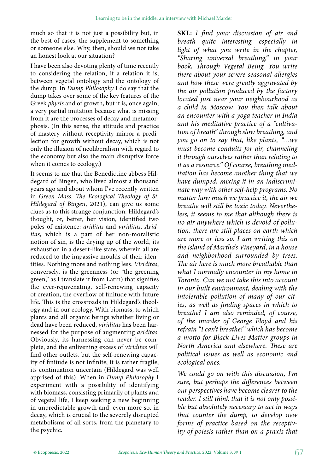much so that it is not just a possibility but, in the best of cases, the supplement to something or someone else. Why, then, should we not take an honest look at our situation?

I have been also devoting plenty of time recently to considering the relation, if a relation it is, between vegetal ontology and the ontology of the dump. In *Dump Philosophy* I do say that the dump takes over some of the key features of the Greek *physis* and of growth, but it is, once again, a very partial imitation because what is missing from it are the processes of decay and metamorphosis. (In this sense, the attitude and practice of mastery without receptivity mirror a predilection for growth without decay, which is not only the illusion of neoliberalism with regard to the economy but also the main disruptive force when it comes to ecology.)

It seems to me that the Benedictine abbess Hildegard of Bingen, who lived almost a thousand years ago and about whom I've recently written in *Green Mass: The Ecological Theology of St. Hildegard of Bingen*, 2021), can give us some clues as to this strange conjunction. Hildegard's thought, or, better, her vision, identified two poles of existence: *ariditas*  and *viriditas*. *Ariditas*, which is a part of her non-moralistic notion of sin, is the drying up of the world, its exhaustion in a desert-like state, wherein all are reduced to the impassive moulds of their identities. Nothing more and nothing less. *Viriditas*, conversely, is the greenness (or "the greening green," as I translate it from Latin) that signifies the ever-rejuvenating, self-renewing capacity of creation, the overflow of finitude with future life. This is the crossroads in Hildegard's theology and in our ecology. With biomass, to which plants and all organic beings whether living or dead have been reduced, *viriditas* has been harnessed for the purpose of augmenting *ariditas*. Obviously, its harnessing can never be complete, and the enlivening excess of *viriditas* will find other outlets, but the self-renewing capacity of finitude is not infinite; it is rather fragile, its continuation uncertain (Hildegard was well apprised of this). When in *Dump Philosophy* I experiment with a possibility of identifying with biomass, consisting primarily of plants and of vegetal life, I keep seeking a new beginning in unpredictable growth and, even more so, in decay, which is crucial to the severely disrupted metabolisms of all sorts, from the planetary to the psychic.

**SKL:**  *I find your discussion of air and breath quite interesting, especially in light of what you write in the chapter, "Sharing universal breathing," in your book, Through Vegetal Being. You write there about your severe seasonal allergies and how these were greatly aggravated by the air pollution produced by the factory located just near your neighbourhood as a child in Moscow. You then talk about an encounter with a yoga teacher in India and his meditative practice of a "cultivation of breath" through slow breathing, and you go on to say that, like plants, "…we must become conduits for air, channeling it through ourselves rather than relating to it as a resource." Of course, breathing meditation has become another thing that we have dumped, mixing it in an indiscriminate way with other self-help programs. No matter how much we practice it, the air we breathe will still be toxic today. Nevertheless, it seems to me that although there is no air anywhere which is devoid of pollution, there are still places on earth which are more or less so. I am writing this on the island of Martha's Vineyard, in a house and neighborhood surrounded by trees. The air here is much more breathable than what I normally encounter in my home in Toronto. Can we not take this into account in our built environment, dealing with the intolerable pollution of many of our cities, as well as finding spaces in which to breathe? I am also reminded, of course, of the murder of George Floyd and his refrain "I can't breathe!" which has become a motto for Black Lives Matter groups in North America and elsewhere. These are political issues as well as economic and ecological ones.*

*We could go on with this discussion, I'm sure, but perhaps the differences between our perspectives have become clearer to the reader. I still think that it is not only possible but absolutely necessary to act in ways that counter the dump, to develop new forms of practice based on the receptivity of poiesis rather than on a praxis that*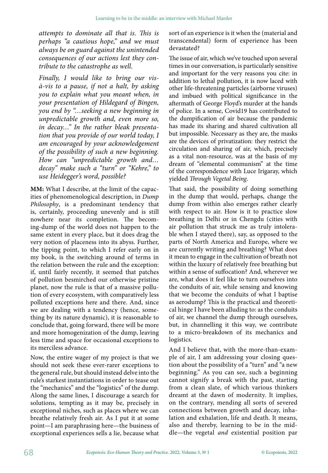*attempts to dominate all that is. This is perhaps "a cautious hope," and we must always be on guard against the unintended consequences of our actions lest they contribute to the catastrophe as well.*

*Finally, I would like to bring our visà-vis to a pause, if not a halt, by asking you to explain what you meant when, in your presentation of Hildegard of Bingen, you end by "…seeking a new beginning in unpredictable growth and, even more so, in decay…" In the rather bleak presentation that you provide of our world today, I am encouraged by your acknowledgement of the possibility of such a new beginning. How can "unpredictable growth and… decay" make such a "turn" or "Kehre," to use Heidegger's word, possible?*

**MM:** What I describe, at the limit of the capacities of phenomenological description, in *Dump Philosophy*, is a predominant tendency that is, certainly, proceeding unevenly and is still nowhere near its completion. The becoming-dump of the world does not happen to the same extent in every place, but it does drag the very notion of placeness into its abyss. Further, the tipping point, to which I refer early on in my book, is the switching around of terms in the relation between the rule and the exception: if, until fairly recently, it seemed that patches of pollution besmirched our otherwise pristine planet, now the rule is that of a massive pollution of every ecosystem, with comparatively less polluted exceptions here and there. And, since we are dealing with a tendency (hence, something by its nature dynamic), it is reasonable to conclude that, going forward, there will be more and more homogenization of the dump, leaving less time and space for occasional exceptions to its merciless advance.

Now, the entire wager of my project is that we should not seek these ever-rarer exceptions to the general rule, but should instead delve into the rule's starkest instantiations in order to tease out the "mechanics" and the "logistics" of the dump. Along the same lines, I discourage a search for solutions, tempting as it may be, precisely in exceptional niches, such as places where we can breathe relatively fresh air. As I put it at some point—I am paraphrasing here—the business of exceptional experiences sells a lie, because what

sort of an experience is it when the (material and transcendental) form of experience has been devastated?

The issue of air, which we've touched upon several times in our conversation, is particularly sensitive and important for the very reasons you cite: in addition to lethal pollution, it is now laced with other life-threatening particles (airborne viruses) and imbued with political significance in the aftermath of George Floyd's murder at the hands of police. In a sense, Covid19 has contributed to the dumpification of air because the pandemic has made its sharing and shared cultivation all but impossible. Necessary as they are, the masks are the devices of privatization: they restrict the circulation and sharing of air, which, precisely as a vital non-resource, was at the basis of my dream of "elemental communism" at the time of the correspondence with Luce Irigaray, which yielded *Through Vegetal Being*.

That said, the possibility of doing something in the dump that would, perhaps, change the dump from within also emerges rather clearly with respect to air. How is it to practice slow breathing in Delhi or in Chengdu (cities with air pollution that struck me as truly intolerable when I stayed there), say, as opposed to the parts of North America and Europe, where we are currently writing and breathing? What does it mean to engage in the cultivation of breath not within the luxury of relatively free breathing but within a sense of suffocation? And, wherever we are, what does it feel like to turn ourselves into the conduits of air, while sensing and knowing that we become the conduits of what I baptise as aerodump? This is the practical and theoretical hinge I have been alluding to: as the conduits of air, we channel the dump through ourselves, but, in channelling it this way, we contribute to a micro-breakdown of its mechanics and logistics.

And I believe that, with the more-than-example of air, I am addressing your closing question about the possibility of a "turn" and "a new beginning." As you can see, such a beginning cannot signify a break with the past, starting from a clean slate, of which various thinkers dreamt at the dawn of modernity. It implies, on the contrary, mending all sorts of severed connections between growth and decay, inhalation and exhalation, life and death. It means, also and thereby, learning to be in the middle—the vegetal *and*  existential position par